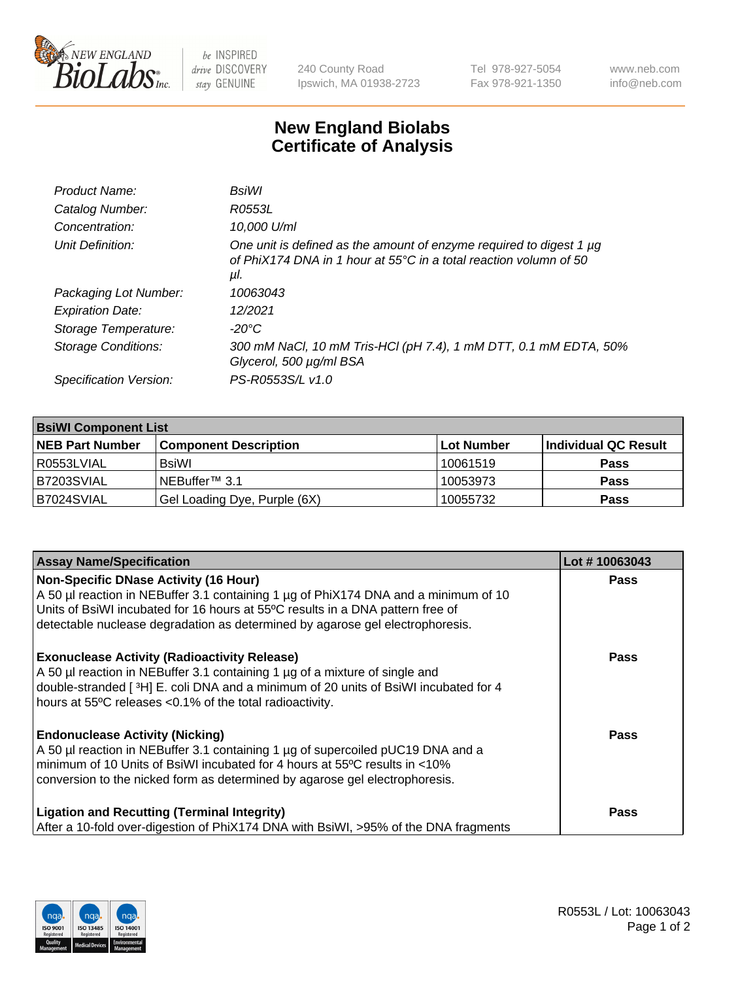

 $be$  INSPIRED drive DISCOVERY stay GENUINE

240 County Road Ipswich, MA 01938-2723 Tel 978-927-5054 Fax 978-921-1350 www.neb.com info@neb.com

## **New England Biolabs Certificate of Analysis**

| Product Name:           | BsiWl                                                                                                                                                     |
|-------------------------|-----------------------------------------------------------------------------------------------------------------------------------------------------------|
| Catalog Number:         | R0553L                                                                                                                                                    |
| Concentration:          | 10,000 U/ml                                                                                                                                               |
| Unit Definition:        | One unit is defined as the amount of enzyme required to digest 1 µg<br>of PhiX174 DNA in 1 hour at $55^{\circ}$ C in a total reaction volumn of 50<br>μl. |
| Packaging Lot Number:   | 10063043                                                                                                                                                  |
| <b>Expiration Date:</b> | 12/2021                                                                                                                                                   |
| Storage Temperature:    | $-20^{\circ}$ C                                                                                                                                           |
| Storage Conditions:     | 300 mM NaCl, 10 mM Tris-HCl (pH 7.4), 1 mM DTT, 0.1 mM EDTA, 50%<br>Glycerol, 500 µg/ml BSA                                                               |
| Specification Version:  | PS-R0553S/L v1.0                                                                                                                                          |

| <b>BsiWI Component List</b> |                              |             |                      |  |
|-----------------------------|------------------------------|-------------|----------------------|--|
| <b>NEB Part Number</b>      | <b>Component Description</b> | ∣Lot Number | Individual QC Result |  |
| R0553LVIAL                  | BsiWl                        | 10061519    | <b>Pass</b>          |  |
| B7203SVIAL                  | NEBuffer <sup>™</sup> 3.1    | 10053973    | <b>Pass</b>          |  |
| B7024SVIAL                  | Gel Loading Dye, Purple (6X) | 10055732    | <b>Pass</b>          |  |

| <b>Assay Name/Specification</b>                                                                                                                                                                                                                                                                        | Lot #10063043 |
|--------------------------------------------------------------------------------------------------------------------------------------------------------------------------------------------------------------------------------------------------------------------------------------------------------|---------------|
| <b>Non-Specific DNase Activity (16 Hour)</b><br>A 50 µl reaction in NEBuffer 3.1 containing 1 µg of PhiX174 DNA and a minimum of 10<br>Units of BsiWI incubated for 16 hours at 55°C results in a DNA pattern free of<br>detectable nuclease degradation as determined by agarose gel electrophoresis. | <b>Pass</b>   |
| <b>Exonuclease Activity (Radioactivity Release)</b><br>A 50 µl reaction in NEBuffer 3.1 containing 1 µg of a mixture of single and<br>double-stranded [3H] E. coli DNA and a minimum of 20 units of BsiWI incubated for 4<br>hours at 55°C releases <0.1% of the total radioactivity.                  | <b>Pass</b>   |
| <b>Endonuclease Activity (Nicking)</b><br>A 50 µl reaction in NEBuffer 3.1 containing 1 µg of supercoiled pUC19 DNA and a<br>minimum of 10 Units of BsiWI incubated for 4 hours at 55°C results in <10%<br>conversion to the nicked form as determined by agarose gel electrophoresis.                 | Pass          |
| <b>Ligation and Recutting (Terminal Integrity)</b><br>After a 10-fold over-digestion of PhiX174 DNA with BsiWI, >95% of the DNA fragments                                                                                                                                                              | Pass          |